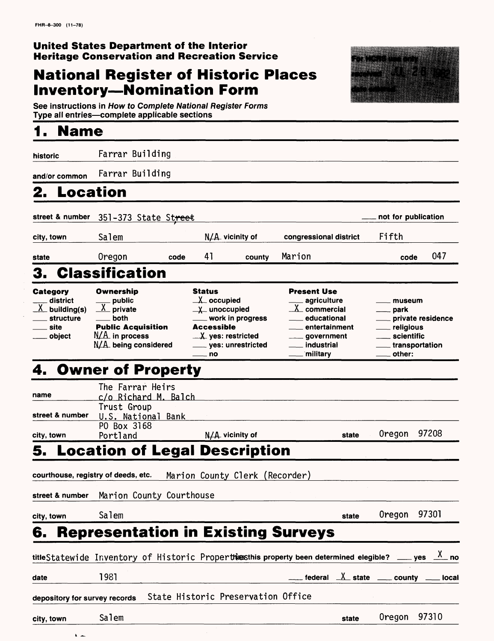# **National Register of Historic Places Inventory—Nomination Form**



**See instructions in How to Complete National Register Forms Type all entries—complete applicable sections\_\_\_\_\_\_\_\_\_\_\_\_\_\_\_**

# **1. Name**

**historic** Farrar Building

and/or common Farrar Building

# **2. Location**

| street & number                                                                  | 351-373 State Street                                                                                                         |      |                                                                                                                                                                                          |        |                                                                                                                                                                        | not for publication                                                                                                                                |     |
|----------------------------------------------------------------------------------|------------------------------------------------------------------------------------------------------------------------------|------|------------------------------------------------------------------------------------------------------------------------------------------------------------------------------------------|--------|------------------------------------------------------------------------------------------------------------------------------------------------------------------------|----------------------------------------------------------------------------------------------------------------------------------------------------|-----|
| city, town                                                                       | Salem                                                                                                                        |      | $N/A$ vicinity of                                                                                                                                                                        |        | congressional district                                                                                                                                                 | Fifth                                                                                                                                              |     |
| state                                                                            | Oregon                                                                                                                       | code | 41                                                                                                                                                                                       | county | Marion                                                                                                                                                                 | code                                                                                                                                               | 047 |
| 3.                                                                               | <b>Classification</b>                                                                                                        |      |                                                                                                                                                                                          |        |                                                                                                                                                                        |                                                                                                                                                    |     |
| Category<br>district<br>$\frac{X}{X}$ building(s)<br>structure<br>site<br>object | Ownership<br>$\frac{1}{\sqrt{2}}$ public<br>.both<br><b>Public Acquisition</b><br>$N/A$ in process<br>$N/A$ being considered |      | <b>Status</b><br>$\perp$ occupied<br>$\chi$ unoccupied<br>___ work in progress<br><b>Accessible</b><br>$\mathbf{X}$ ves: restricted<br>____ yes: unrestricted<br>$\rule{1em}{0.15mm}$ no |        | <b>Present Use</b><br><sub>——</sub> agriculture<br>$X$ commercial<br><u>____educational</u><br><u>__</u> entertainment<br>_____ government<br>industrial<br>__military | ___ museum<br><u>_</u> ___ park<br><u>__</u> __ private residence<br>religious<br>scientific<br>____ transportation<br>$\rule{1em}{0.15mm}$ other: |     |

# 4. Owner of Property

| E.              | Lesstian of Logal Decorrection |                   |       |              |  |
|-----------------|--------------------------------|-------------------|-------|--------------|--|
| city, town      | Portland                       | $N/A$ vicinity of | state | Oregon 97208 |  |
|                 | PO Box 3168                    |                   |       |              |  |
| street & number | U.S. National Bank             |                   |       |              |  |
|                 | Trust Group                    |                   |       |              |  |
| name            | c/o Richard M. Balch           |                   |       |              |  |
|                 | The Farrar Heirs               |                   |       |              |  |

## **5. Location of Legal Description**

| courthouse, registry of deeds, etc. |                                                                                                                   | Marion County Clerk (Recorder) |  |  |  |       |                                                                                    |       |  |
|-------------------------------------|-------------------------------------------------------------------------------------------------------------------|--------------------------------|--|--|--|-------|------------------------------------------------------------------------------------|-------|--|
|                                     | street & number Marion County Courthouse                                                                          |                                |  |  |  |       |                                                                                    |       |  |
| city, town                          | Salem                                                                                                             |                                |  |  |  | state | Oregon                                                                             | 97301 |  |
|                                     | <b>6. Representation in Existing Surveys</b>                                                                      |                                |  |  |  |       |                                                                                    |       |  |
|                                     | titleStatewide Inventory of Historic Propertiassthis property been determined elegible? ____ yes $\frac{X}{x}$ no |                                |  |  |  |       |                                                                                    |       |  |
| date                                | 1981                                                                                                              |                                |  |  |  |       | $\frac{1}{2}$ federal $\frac{1}{2}$ state $\frac{1}{2}$ county $\frac{1}{2}$ local |       |  |

## depository for survey records State Historic Preservation Office

 $\mathbf{A}$ 

**city, town** Salem Salem Salem Salem Salem Salem Salem Salem Salem Salem Salem Salem Salem Salem Salem Salem Salem Salem Salem Salem Salem Salem Salem Salem Salem Salem Salem Salem Salem Salem Salem Salem Salem Salem Salem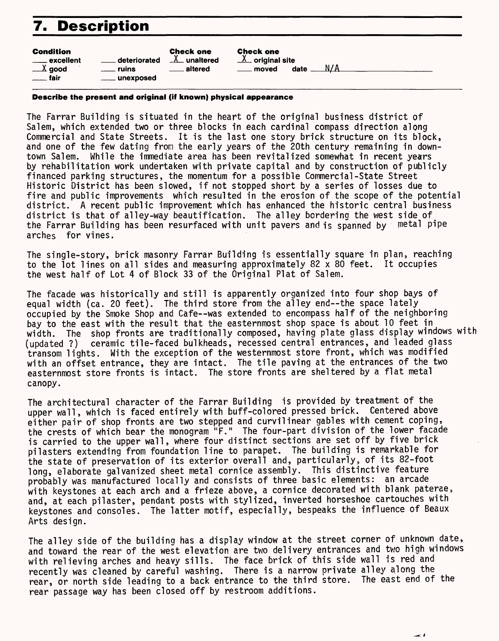# **7. Description**

| Condition                        |              | <b>Check one</b> |
|----------------------------------|--------------|------------------|
| ____ excellent                   | deteriorated | $X$ unaltered    |
| $\_\lambda$ good                 | ruins        | altered          |
| fair<br>$\overline{\phantom{a}}$ | unexposed    |                  |
|                                  |              |                  |

Check one  $X$  original site

moved date  $N/A$ 

**Describe the present and original (if known) physical appearance**

The Farrar Building is situated in the heart of the original business district of Salem, which extended two or three blocks in each cardinal compass direction along Commercial and State Streets. It is the last one story brick structure on its block, and one of the few dating from the early years of the 20th century remaining in downtown Salem. While the immediate area has been revitalized somewhat in recent years by rehabilitation work undertaken with private capital and by construction of publicly financed parking structures, the momentum for a possible Commercial-State Street Historic District has been slowed, if not stopped short by a series of losses due to fire and public improvements which resulted in the erosion of the scope of the potential district. A recent public improvement which has enhanced the historic central business district is that of alley-way beautification. The alley bordering the west side of^ the Farrar Building has been resurfaced with unit pavers and is spanned by metal pipe arches for vines.

The single-story, brick masonry Farrar Building fs essentially square in plan, reaching to the lot lines on all sides and measuring approximately 82 x 80 feet. It occupies the west half of Lot 4 of Block 33 of the Original Plat of Salem.

The facade was historically and still is apparently organized into four shop bays of equal width (ca. 20 feet). The third store from the alley end--the space lately occupied by the Smoke Shop and Cafe--was extended to encompass half of the neighboring bay to the east with the result that the easternmost shop space is about 10 feet in width. The shop fronts are traditionally composed, having plate glass display windows with (updated ?) ceramic tile-faced bulkheads, recessed central entrances, and leaded glass transom lights. With the exception of the westernmost store front, which was modified with an offset entrance, they are intact. The tile paving at the entrances of the two easternmost store fronts is intact. The store fronts are sheltered by a flat metal canopy.

The architectural character of the Farrar Building is provided by treatment of the upper wall, which is faced entirely with buff-colored pressed brick. Centered above either pair of shop fronts are two stepped and curvilinear gables with cement coping, the crests of which bear the monogram "F." The four-part division of the lower facade is carried to the upper wall, where four distinct sections are set off by five brick pilasters extending from foundation line to parapet. The building is remarkable for the state of preservation of its exterior overall and, particularly, of its 82-foot long, elaborate galvanized sheet metal cornice assembly. This distinctive feature probably was manufactured locally and consists of three basic elements: an arcade with keystones at each arch and a frieze above, a cornice decorated with blank paterae, and, at each pilaster, pendant posts with stylized, inverted horseshoe cartouches with keystones and consoles. The latter motif, especially, bespeaks the influence of Beaux Arts design.

The alley side of the building has a display window at the street corner of unknown date, and toward the rear of the west elevation are two delivery entrances and two high windows with relieving arches and heavy sills. The face brick of this side wall is red and recently was cleaned by careful washing. There is a narrow private alley along the rear, or north side leading to a back entrance to the third store. The east end of the rear passage way has been closed off by restroom additions.

24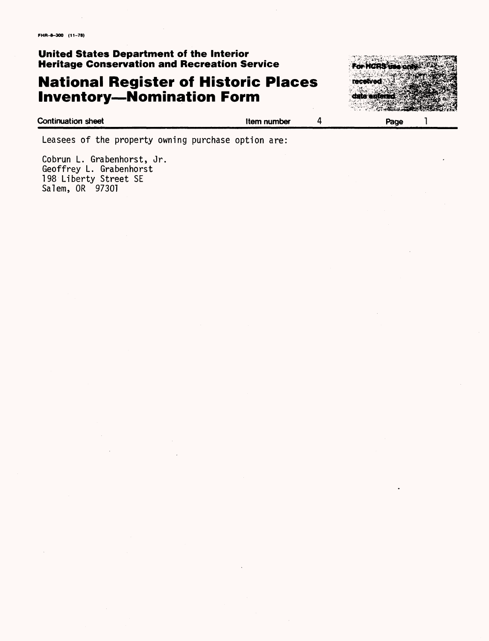# **National Register of Historic Places Inventory—Nomination Form**



**Continuation sheet Item number Page** 1

Leasees of the property owning purchase option are:

Cobrun L. Grabenhorst, Jr. Geoffrey L. Grabenhorst 198 Liberty Street SE Salem, OR 97301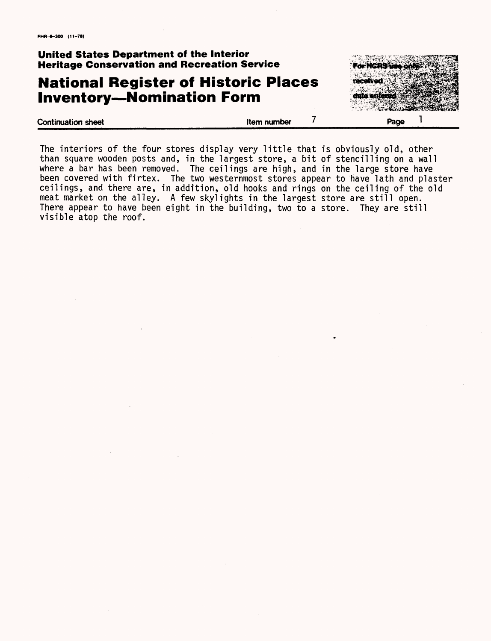# **National Register of Historic Places Inventory—Nomination Form**



| <b>Continuation sheet</b> | Item number | Page |
|---------------------------|-------------|------|
|                           |             |      |

The interiors of the four stores display very little that is obviously old, other than square wooden posts and, in the largest store, a bit of stencilling on a wall where a bar has been removed. The ceilings are high, and in the large store have been covered with firtex. The two westernmost stores appear to have lath and plaster ceilings, and there are, in addition, old hooks and rings on the ceiling of the old meat market on the alley. A few skylights in the largest store are still open. There appear to have been eight in the building, two to a store. They are still visible atop the roof.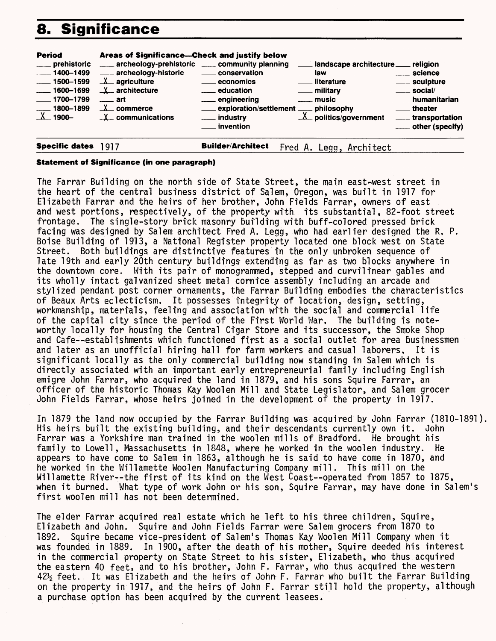# **8. Significance**

| <b>Period</b><br>___ prehistoric<br>$- 1400 - 1499$<br>$\frac{1}{2}$ 1500–1599<br>$\frac{1600 - 1699}{1600 - 1699}$<br>$\frac{1}{2}$ 1700–1799<br>$\frac{1800-1899}{1}$<br>X 1900- | Areas of Significance—Check and justify below<br>archeology-prehistoric ____ community planning<br>____ archeology-historic<br>$\underline{\mathsf{X}}$ agriculture<br>$X$ architecture<br>$\equiv$ art<br>$\underline{\mathbf{X}}$ commerce<br>$X_{-}$ communications | _____ conservation<br>_____ economics<br><u>_</u> ___ education<br><u>_</u> __ engineering<br>$\equiv$ invention | landscape architecture __ religion<br>. Iaw<br>___ literature<br><u>_</u> __ military<br><u>__</u> __ music<br><b>Exploration/settlement</b> ___ philosophy ___ industry $\frac{X}{X}$ politics/government | <sub>___</sub> __ science<br>____ sculpture<br>$\equiv$ social/<br>humanitarian<br>theater<br>____ transportation<br>____ other (specify) |
|------------------------------------------------------------------------------------------------------------------------------------------------------------------------------------|------------------------------------------------------------------------------------------------------------------------------------------------------------------------------------------------------------------------------------------------------------------------|------------------------------------------------------------------------------------------------------------------|------------------------------------------------------------------------------------------------------------------------------------------------------------------------------------------------------------|-------------------------------------------------------------------------------------------------------------------------------------------|
| <b>Specific dates</b>                                                                                                                                                              | 1917                                                                                                                                                                                                                                                                   | <b>Builder/Architect</b>                                                                                         | Legg, Architect<br>Fred A.                                                                                                                                                                                 |                                                                                                                                           |

#### **Statement of Significance (in one paragraph)**

The Farrar Building on the north side of State Street, the main east-west street in the heart of the central business district of Salem, Oregon, was built in 1917 for Elizabeth Farrar and the heirs of her brother, John Fields Farrar, owners of east and west portions, respectively, of the property with. Its substantial, 82-foot street frontage. The single-story brick masonry building with buff-colored pressed brick facing was designed by Salem architect Fred A, Legg, who had earlier designed the R, P. Boise Building of 1913, a National Register property located one block west on State Street. Both buildings are distinctive features in the only unbroken sequence of late 19th and early 20th century buildings extending as far as two blocks anywhere in the downtown core. With its pair of monogrammed, stepped and curvilinear gables and its wholly intact galvanized sheet metal cornice assembly including an arcade and stylized pendant post corner ornaments, the Farrar Building embodies the characteristics of Beaux Arts eclecticism. It possesses Integrity of location, design, setting, workmanship, materials, feeling and association with the social and commercial life of the capital city since the period of the First World War. The building is noteworthy locally for housing the Central Cigar Store and its successor, the Smoke Shop and Cafe—establishments which functioned first as a social outlet for area businessmen and later as an unofficial hiring hall for farm workers and casual laborers. It is significant locally as the only commercial building now standing in Salem which is directly associated with an important early entrepreneurial family including English emigre John Farrar, who acquired the land in 1879, and his sons Squire Farrar, an officer of the historic Thomas Kay Woolen Mill and State Legislator, and Salem grocer John Fields Farrar, whose heirs joined in the development of the property in 1917.

In 1879 the land now occupied by the Farrar Building was acquired by John Farrar (1810-1891) His heirs built the existing building, and their descendants currently own it. John Farrar was a Yorkshire man trained in the woolen mills of Bradford. He brought his family to Lowell, Massachusetts in 1848, where he worked in the woolen industry. He appears to have come to Salem in 1863, although he is said to have come in 1870, and he worked in the Willamette Woolen Manufacturing Company mill. This mill on the Willamette River--the first of its kind on the West Coast—operated from 1857 to 1875, when it burned. What type of work John or his son, Squire Farrar, may have done in Salem's first woolen mill has not been determined.

The elder Farrar acquired real estate which he left to his three children, Squire, Elizabeth and John. Squire and John Fields Farrar were Salem grocers from 1870 to 1892. Squire became vice-president of Salem's Thomas Kay Woolen Mill Company when it was founded in 1889. In 1900, after the death of his mother, Squire deeded his interest in the commercial property on State Street to his sister, Elizabeth, who thus acquired the eastern 40 feet, and to his brother, John F. Farrar, who thus acquired the western 42% feet. It was Elizabeth and the heirs of John F. Farrar who built the Farrar Building on the property in 1917, and the heirs of John F. Farrar still hold the property, although a purchase option has been acquired by the current leasees.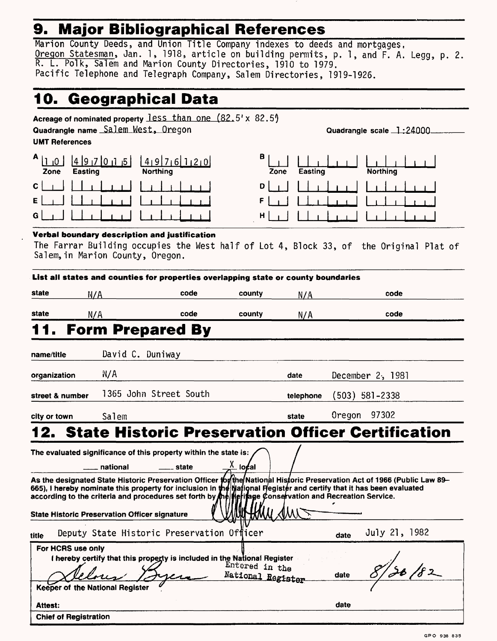# **9. Major Bibliographical References**

Marion County Deeds, and Union Title Company indexes to deeds and mortgages, Oregon Statesman, Jan. 1, 1918, article on building permits, p. 1, and F. A. Legg, p. 2. R. L. Polk, Salem and Marion County Directories, 1910 to 1979. Pacific Telephone and Telegraph Company, Salem Directories, 1919-1926.

# **10. Geographical Data\_\_\_\_\_\_\_\_\_\_\_\_\_\_\_\_\_\_\_\_**

| Quadrangle name Salem West, Oregon                   |          | Acreage of nominated property $\text{less than one} (82.5' \times 82.5')$          |                                 |           | Quadrangle scale 1:24000                                                                                                                                                                                                       |
|------------------------------------------------------|----------|------------------------------------------------------------------------------------|---------------------------------|-----------|--------------------------------------------------------------------------------------------------------------------------------------------------------------------------------------------------------------------------------|
| <b>UMT References</b>                                |          |                                                                                    |                                 |           |                                                                                                                                                                                                                                |
| $A_{11}$<br>- 10 I<br>Easting<br>Zone                |          | $1419$ 7 6 1 2 0<br><b>Northing</b>                                                | 8<br>Zone                       | Easting   | Northing                                                                                                                                                                                                                       |
| с                                                    |          |                                                                                    | D                               |           |                                                                                                                                                                                                                                |
|                                                      |          |                                                                                    | F                               |           |                                                                                                                                                                                                                                |
|                                                      |          |                                                                                    | н                               |           |                                                                                                                                                                                                                                |
|                                                      |          | Verbal boundary description and justification                                      |                                 |           |                                                                                                                                                                                                                                |
| Salem, in Marion County, Oregon.                     |          |                                                                                    |                                 |           | The Farrar Building occupies the West half of Lot 4, Block 33, of the Original Plat of                                                                                                                                         |
|                                                      |          | List all states and counties for properties overlapping state or county boundaries |                                 |           |                                                                                                                                                                                                                                |
| state<br>N/A                                         |          | code                                                                               | county                          | N/A       | code                                                                                                                                                                                                                           |
| state<br>N/A                                         |          | code                                                                               | county                          | N/A       | code                                                                                                                                                                                                                           |
|                                                      |          | <b>Form Prepared By</b>                                                            |                                 |           |                                                                                                                                                                                                                                |
| name/title                                           |          | David C. Duniway                                                                   |                                 |           |                                                                                                                                                                                                                                |
| organization                                         | N/A      |                                                                                    |                                 | date      | December 2, 1981                                                                                                                                                                                                               |
| street & number                                      |          | 1365 John Street South                                                             |                                 | telephone | (503) 581–2338                                                                                                                                                                                                                 |
| city or town                                         | Salem    |                                                                                    |                                 | state     | Oregon<br>97302                                                                                                                                                                                                                |
|                                                      |          |                                                                                    |                                 |           | <b>State Historic Preservation Officer Certification</b>                                                                                                                                                                       |
|                                                      |          | The evaluated significance of this property within the state is:                   |                                 |           |                                                                                                                                                                                                                                |
|                                                      | national | _ state                                                                            | $\frac{\lambda}{\lambda}$ local |           |                                                                                                                                                                                                                                |
| <b>State Historic Preservation Officer signature</b> |          |                                                                                    | $\leq$ /W) $\leq$               |           | As the designated State Historic Preservation Officer for the National Historic Preservation Act of 1966 (Public Law 89–665), I hereby nominate this property for inclusion in the Mational Hegister and certify that it has b |
| title                                                |          | Deputy State Historic Preservation Officer                                         |                                 |           | July 21, 1982<br>date                                                                                                                                                                                                          |

| For HCRS use only                                                        |                                     |      |  |
|--------------------------------------------------------------------------|-------------------------------------|------|--|
| I hereby certify that this property is included in the National Register |                                     |      |  |
|                                                                          | Entered in the<br>National Register | date |  |
| Keeper of the National Register                                          |                                     |      |  |
| Attest:                                                                  |                                     | date |  |
| <b>Chief of Registration</b>                                             |                                     |      |  |
|                                                                          |                                     |      |  |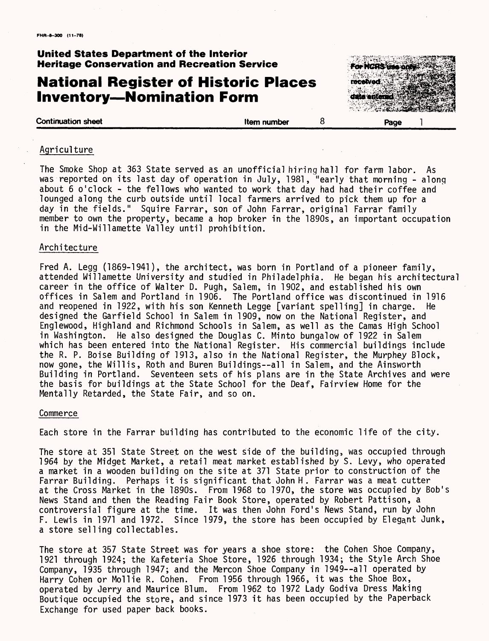# **National Register of Historic Places Inventory—Nomination Form**



#### **Continuation sheet Continuation sheet Continuation sheet 1**

#### **Agriculture**

The Smoke Shop at 363 State served as an unofficial hiring hall for farm labor. As was reported on its last day of operation in July, 1981, "early that morning - along about 6 o'clock - the fellows who wanted to work that day had had their coffee and lounged along the curb outside until local farmers arrived to pick them up for a day in the fields." Squire Farrar, son of John Farrar, original Farrar family member to own the property, became a hop broker in the 1890s, an important occupation in the Mid-Willamette Valley until prohibition.

#### Architecture

Fred A. Legg (1869-1941), the architect, was born in Portland of a pioneer family, attended Willamette University and studied in Philadelphia. He began his architectural career in the office of Walter D. Pugh, Salem, in 1902, and established his own offices in Salem and Portland in 1906. The Portland office was discontinued in 1916 and reopened in 1922, with his son Kenneth Legge [variant spelling] in charge. He designed the Garfield School in Salem in 1909, now on the National Register, and Englewood, Highland and Richmond Schools in Salem, as well as the Camas High School in Washington. He also designed the Douglas C. Minto bungalow of 1922 in Salem which has been entered into the National Register. His commercial buildings include the R. P. Boise Building of 1913, also in the National Register, the Murphey Block, now gone, the Willis, Roth and Buren Buildings--all in Salem, and the Ainsworth Building in Portland. Seventeen sets of his plans are in the State Archives and were the basis for buildings at the State School for the Deaf, Fairview Home for the Mentally Retarded, the State Fair, and so on.

#### **Commerce**

Each store in the Farrar building has contributed to the economic life of the city.

The store at 351 State Street on the west side of the building, was occupied through 1964 by the Midget Market, a retail meat market established by S. Levy, who operated a market in a wooden building on the site at 371 State prior to construction of the Farrar Building. Perhaps it is significant that John H. Farrar was a meat cutter at the Cross Market in the 1890s. From 1968 to 1970, the store was occupied by Bob's News Stand and then the Reading Fair Book Store, operated by Robert Pattison, a controversial figure at the time. It was then John Ford's News Stand, run by John F. Lewis in 1971 and 1972. Since 1979, the store has been occupied by Elegant Junk, a store selling collectables.

The store at 357 State Street was for years a shoe store: the Cohen Shoe Company, 1921 through 1924; the Kafeteria Shoe Store, 1926 through 1934; the Style Arch Shoe Company, 1935 through 1947; and the Mercon Shoe Company in 1949--all operated by Harry Cohen or Mollie R. Cohen. From 1956 through 1966, it was the Shoe Box, operated by Jerry and Maurice Blum. From 1962 to 1972 Lady Godiva Dress Making Boutique occupied the store, and since 1973 it has been occupied by the Paperback Exchange for used paper back books.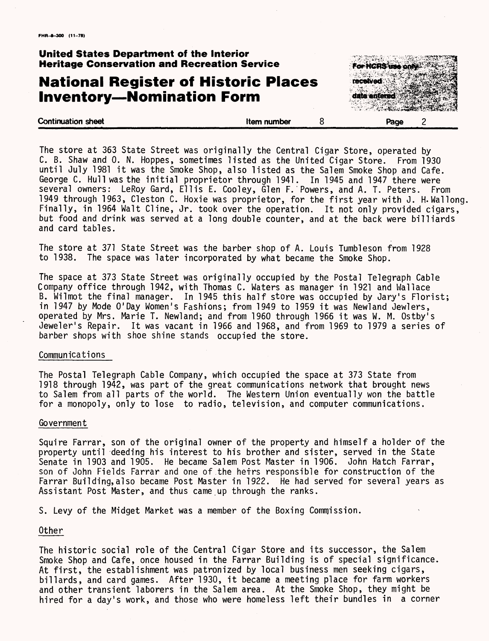# **National Register of Historic Places Inventory—Nomination Form**

**Continuation sheet Continuation sheet Continuation sheet Continuation sheet** 



The store at 363 State Street was originally the Central Cigar Store, operated by C. B. Shaw and 0. N. Hoppes, sometimes listed as the United Cigar Store. From 1930 until July 1981 it was the Smoke Shop, also listed as the Salem Smoke Shop and Cafe. George C. Hull was the initial proprietor through 1941. In 1945 and 1947 there were several owners: LeRoy Gard, Ellis E. Cooley, Glen F. Powers, and A. T. Peters. From 1949 through 1963, Cleston C. Hoxie was proprietor, for the first year with J. H.Wallong. Finally, in 1964 Walt Cline, Jr. took over the operation. It not only provided cigars, but food and drink was served at a long double counter, and at the back were billiards and card tables.

The store at 371 State Street was the barber shop of A. Louis Tumbleson from 1928 to 1938. The space was later incorporated by what became the Smoke Shop.

The space at 373 State Street was originally occupied by the Postal Telegraph Cable Company office through 1942, with Thomas C. Waters as manager in 1921 and Wallace B. Wilmot the final manager. In 1945 this half store was occupied by Jary's Florist; in 1947 by Mode O'Day Women's Fashions; from 1949 to 1959 it was Newland Jewlers, operated by Mrs. Marie T. New!and; and from 1960 through 1966 it was W. M. Ostoy's Jeweler's Repair. It was vacant in 1966 and 1968, and from 1969 to 1979 a series of barber shops with shoe shine stands occupied the store.

#### Communications

The Postal Telegraph Cable Company, which occupied the space at 373 State from 1918 through 1942, was part of the great communications network that brought news to Salem from all parts of the world. The Western Union eventually won the battle for a monopoly, only to lose to radio, television, and computer communications.

#### Government

Squire Farrar, son of the original owner of the property and himself a holder of the property until deeding his interest to his brother and sister, served in the State Senate in 1903 and 1905. He became Salem Post Master in 1906. John Hatch Farrar, son of John Fields Farrar and one of the heirs responsible for construction of the Farrar Building,also became Post Master in 1922. He had served for several years as Assistant Post Master, and thus came up through the ranks.

S. Levy of the Midget Market was a member of the Boxing Commission.

#### Other

The historic social role of the Central Cigar Store and its successor, the Salem Smoke Shop and Cafe, once housed in the Farrar Building is of special significance. At first, the establishment was patronized by local business men seeking cigars, billards, and card games. After 1930, it became a meeting place for farm workers and other transient laborers in the Salem area. At the Smoke Shop, they might be hired for a day's work, and those who were homeless left their bundles in a corner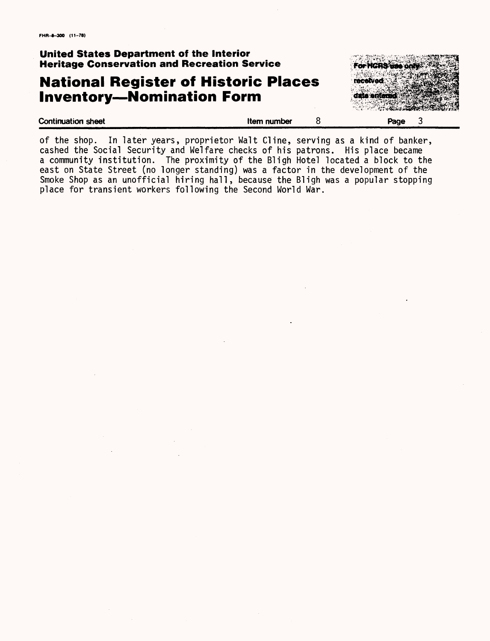# **National Register of Historic Places Inventory—Nomination Form**



| <b>Continuation sheet</b> | Item number | Page<br>÷ |
|---------------------------|-------------|-----------|
|                           |             |           |
|                           |             |           |

of the shop. In later years, proprietor Walt Cline, serving as a kind of banker, cashed the Social Security and Welfare checks of his patrons. His place became a community institution. The proximity of the Bligh Hotel located a block to the east on State Street (no longer standing) was a factor in the development of the Smoke Shop as an unofficial hiring hall, because the Bligh was a popular stopping place for transient workers following the Second World War.